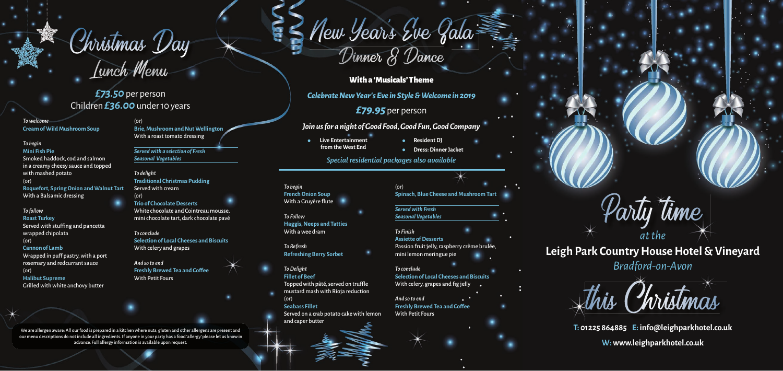Christmas Day<br>Lunch Menu

*£73.50* per person Children *£36.00* under 10 years With a 'Musicals' Theme

*Celebrate New Year's Eve in Style & Welcome in 2019*

*£79.95* per person

### *Join us for a night of Good Food, Good Fun, Good Company*

*Special residential packages also available*

- **Live Entertainment from the West End**
- **Resident DJ**
- **Dress: Dinner Jacket**

We are allergen aware: All our food is prepared in a kitchen where nuts, gluten and other allergens are present and our menu descriptions do not include all ingredients. If anyone in your party has a food 'allergy' please let us know in advance. Full allergy information is available upon request.

 $Chvistmas$  Day  $\searrow$  Briew Jewis Direction New Years Eve Gala

*To welcome* **Cream of Wild Mushroom Soup**

#### *To begin* **Mini Fish Pie**

Smoked haddock, cod and salmon in a creamy cheesy sauce and topped with mashed potato (or) **Roquefort, Spring Onion and Walnut Tart** With a Balsamic dressing

### $($ or $)$ **Spinach, Blue Cheese and Mushroom Tart**

### *To follow* **Roast Turkey** Served with stuffing and pancetta wrapped chipolata (or) **Cannon of Lamb** Wrapped in puff pastry, with a port

### *To conclude* **Selection of Local Cheeses and Biscuits** With celery, grapes and fig jelly

rosemary and redcurrant sauce (or) **Halibut Supreme**

Grilled with white anchovy butter

#### (or) **Brie, Mushroom and Nut Wellington** With a roast tomato dressing

*Served with a selection of Fresh Seasonal Vegetables*

*To delight* **Traditional Christmas Pudding** Served with cream (or)

### **Trio of Chocolate Desserts** White chocolate and Cointreau mousse, mini chocolate tart, dark chocolate pavé

*To conclude* **Selection of Local Cheeses and Biscuits** With celery and grapes

*And so to end* **Freshly Brewed Tea and Coffee** With Petit Fours

### *To begin* **French Onion Soup** With a Gruyère flute

*To Follow* **Haggis, Neeps and Tatties** With a wee dram

*To Refresh* **Refreshing Berry Sorbet**

### *To Delight*

**Fillet of Beef** Topped with pâté, served on truffle mustard mash with Rioja reduction (or) **Seabass Fillet**

Served on a crab potato cake with lemon and caper butter

*Served with Fresh Seasonal Vegetables*

*To Finish* **Assiette of Desserts** Passion fruit jelly, raspberry crème brulée, mini lemon meringue pie

*And so to end* **Freshly Brewed Tea and Coffee**  With Petit Fours



**Leigh Park Country House Hotel & Vineyard** *Bradford-on-Avon Bradford-on-Avon*

**T: 01225 864885 E: info@leighparkhotel.co.uk**

**W: www.leighparkhotel.co.uk**